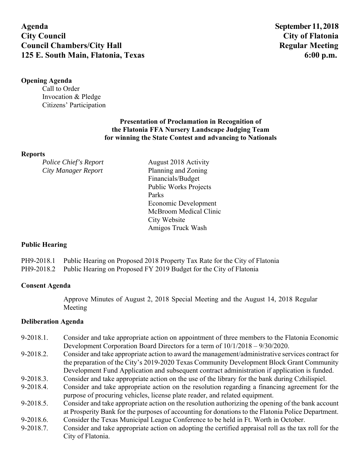**Agenda September 11, 2018 City Council City of Flatonia Council Chambers/City Hall Secure 2018 19:30 Regular Meeting Regular Meeting 2018 125 E. South Main, Flatonia, Texas 6:00 p.m. 6:00 p.m.** 

## **Opening Agenda**

Call to Order Invocation & Pledge Citizens' Participation

# **Presentation of Proclamation in Recognition of the Flatonia FFA Nursery Landscape Judging Team for winning the State Contest and advancing to Nationals**

#### **Reports**

*Police Chief's Report* August 2018 Activity *City Manager Report* Planning and Zoning Financials/Budget Public Works Projects Parks Economic Development McBroom Medical Clinic City Website Amigos Truck Wash

### **Public Hearing**

PH9-2018.1 Public Hearing on Proposed 2018 Property Tax Rate for the City of Flatonia

PH9-2018.2 Public Hearing on Proposed FY 2019 Budget for the City of Flatonia

### **Consent Agenda**

Approve Minutes of August 2, 2018 Special Meeting and the August 14, 2018 Regular Meeting

### **Deliberation Agenda**

- 9-2018.1. Consider and take appropriate action on appointment of three members to the Flatonia Economic Development Corporation Board Directors for a term of 10/1/2018 – 9/30/2020.
- 9-2018.2. Consider and take appropriate action to award the management/administrative services contract for the preparation of the City's 2019-2020 Texas Community Development Block Grant Community Development Fund Application and subsequent contract administration if application is funded.
- 9-2018.3. Consider and take appropriate action on the use of the library for the bank during Czhilispiel.
- 9-2018.4. Consider and take appropriate action on the resolution regarding a financing agreement for the purpose of procuring vehicles, license plate reader, and related equipment.
- 9-2018.5. Consider and take appropriate action on the resolution authorizing the opening of the bank account at Prosperity Bank for the purposes of accounting for donations to the Flatonia Police Department.
- 9-2018.6. Consider the Texas Municipal League Conference to be held in Ft. Worth in October.
- 9-2018.7. Consider and take appropriate action on adopting the certified appraisal roll as the tax roll for the City of Flatonia.